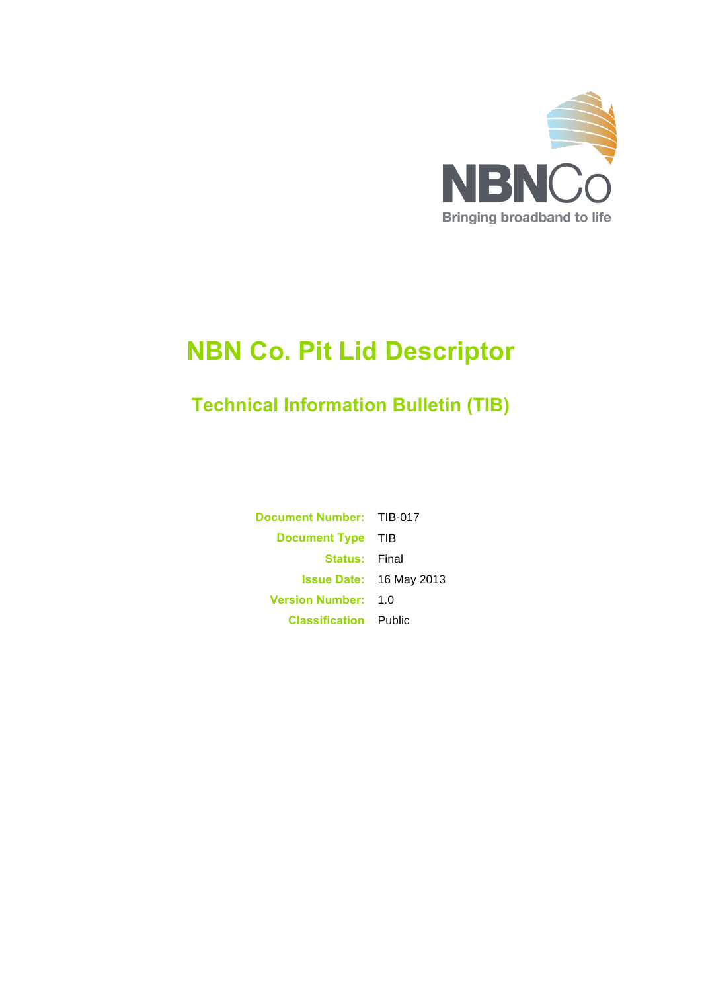

# **NBN Co. Pit Lid Descriptor**

# **Technical Information Bulletin (TIB)**

**Document Number:** TIB-017 **Document Type** TIB **Status:** Final **Issue Date:** 16 May 2013 **Version Number:** 1.0 **Classification** Public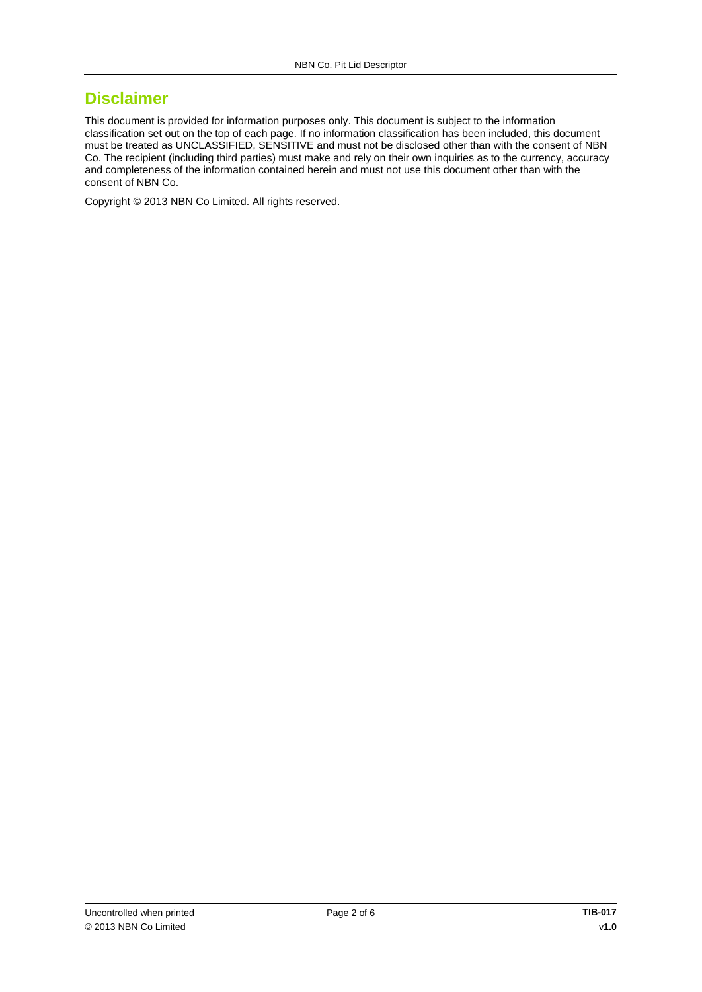### **Disclaimer**

This document is provided for information purposes only. This document is subject to the information classification set out on the top of each page. If no information classification has been included, this document must be treated as UNCLASSIFIED, SENSITIVE and must not be disclosed other than with the consent of NBN Co. The recipient (including third parties) must make and rely on their own inquiries as to the currency, accuracy and completeness of the information contained herein and must not use this document other than with the consent of NBN Co.

Copyright © 2013 NBN Co Limited. All rights reserved.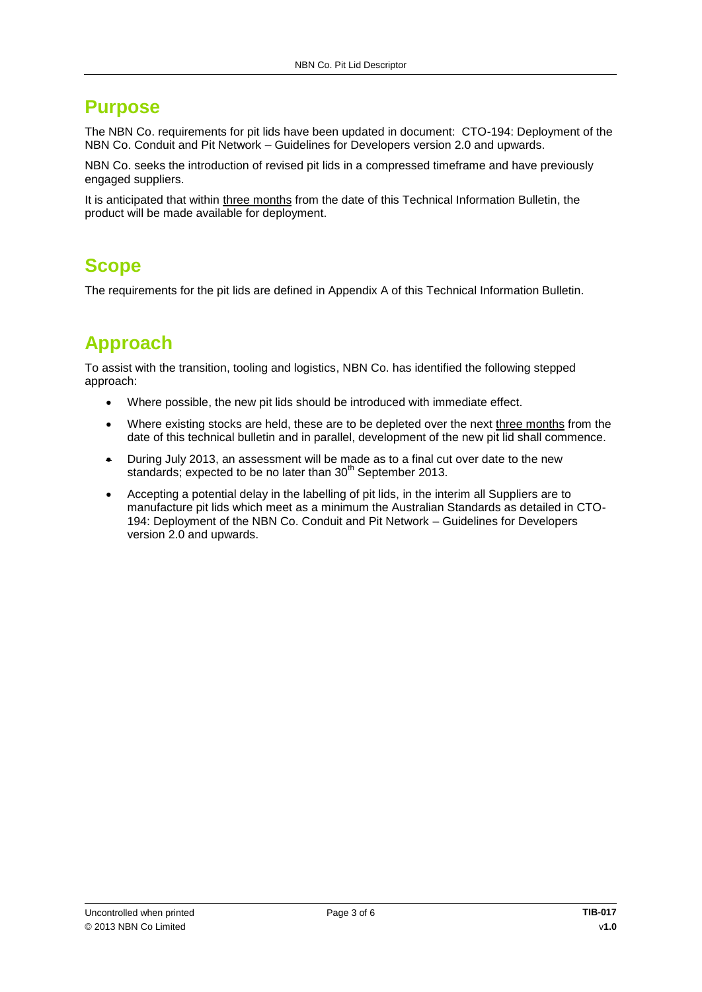# **Purpose**

The NBN Co. requirements for pit lids have been updated in document: CTO-194: Deployment of the NBN Co. Conduit and Pit Network – Guidelines for Developers version 2.0 and upwards.

NBN Co. seeks the introduction of revised pit lids in a compressed timeframe and have previously engaged suppliers.

It is anticipated that within three months from the date of this Technical Information Bulletin, the product will be made available for deployment.

# **Scope**

The requirements for the pit lids are defined in Appendix A of this Technical Information Bulletin.

# **Approach**

To assist with the transition, tooling and logistics, NBN Co. has identified the following stepped approach:

- Where possible, the new pit lids should be introduced with immediate effect.
- Where existing stocks are held, these are to be depleted over the next three months from the date of this technical bulletin and in parallel, development of the new pit lid shall commence.
- During July 2013, an assessment will be made as to a final cut over date to the new standards; expected to be no later than 30<sup>th</sup> September 2013.
- Accepting a potential delay in the labelling of pit lids, in the interim all Suppliers are to manufacture pit lids which meet as a minimum the Australian Standards as detailed in CTO-194: Deployment of the NBN Co. Conduit and Pit Network – Guidelines for Developers version 2.0 and upwards.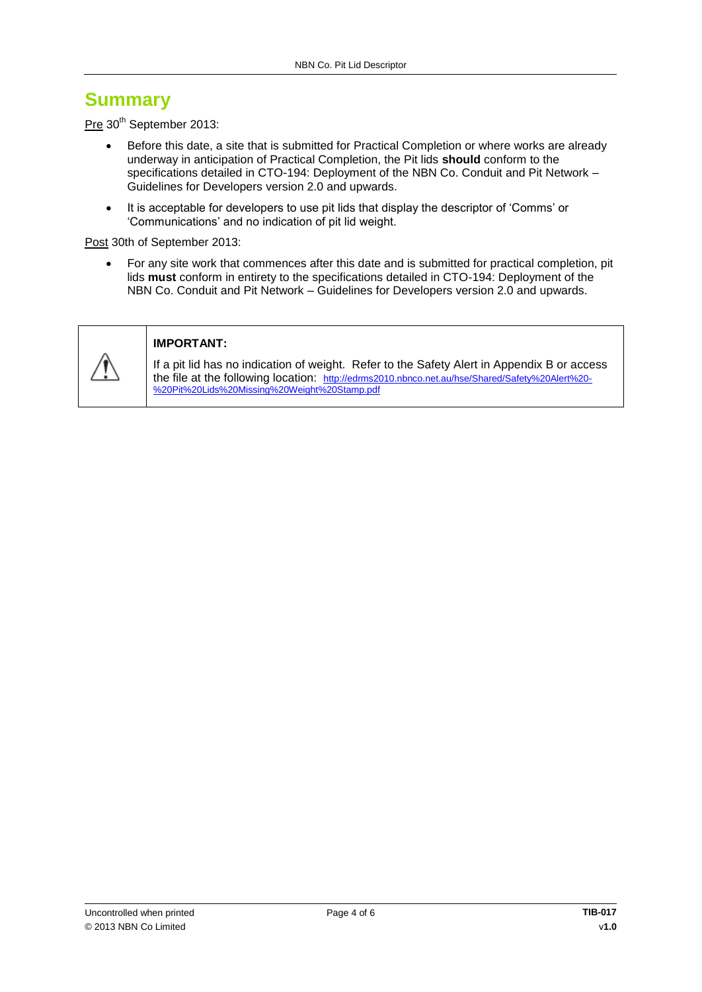# **Summary**

Pre 30<sup>th</sup> September 2013:

- Before this date, a site that is submitted for Practical Completion or where works are already underway in anticipation of Practical Completion, the Pit lids **should** conform to the specifications detailed in CTO-194: Deployment of the NBN Co. Conduit and Pit Network – Guidelines for Developers version 2.0 and upwards.
- It is acceptable for developers to use pit lids that display the descriptor of 'Comms' or 'Communications' and no indication of pit lid weight.

Post 30th of September 2013:

 For any site work that commences after this date and is submitted for practical completion, pit lids **must** conform in entirety to the specifications detailed in CTO-194: Deployment of the NBN Co. Conduit and Pit Network – Guidelines for Developers version 2.0 and upwards.



#### **IMPORTANT:**

If a pit lid has no indication of weight. Refer to the Safety Alert in Appendix B or access the file at the following location: [http://edrms2010.nbnco.net.au/hse/Shared/Safety%20Alert%20-](http://edrms2010.nbnco.net.au/hse/Shared/Safety%20Alert%20-%20Pit%20Lids%20Missing%20Weight%20Stamp.pdf) [%20Pit%20Lids%20Missing%20Weight%20Stamp.pdf](http://edrms2010.nbnco.net.au/hse/Shared/Safety%20Alert%20-%20Pit%20Lids%20Missing%20Weight%20Stamp.pdf)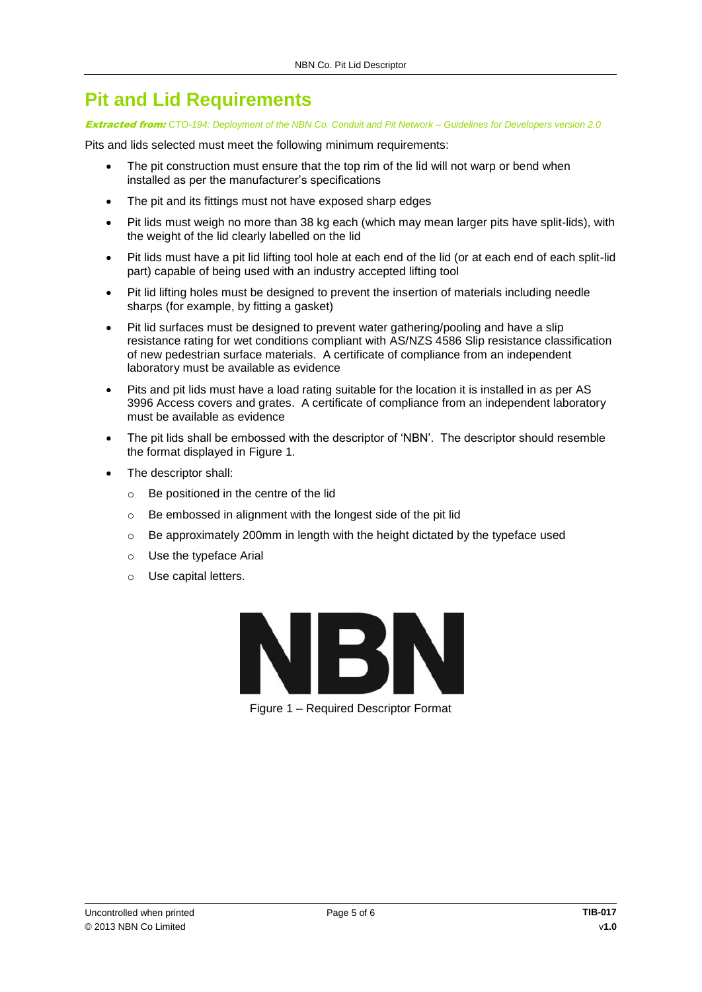# **Pit and Lid Requirements**

#### Extracted from: *CTO-194: Deployment of the NBN Co. Conduit and Pit Network – Guidelines for Developers version 2.0*

Pits and lids selected must meet the following minimum requirements:

- The pit construction must ensure that the top rim of the lid will not warp or bend when installed as per the manufacturer's specifications
- The pit and its fittings must not have exposed sharp edges
- Pit lids must weigh no more than 38 kg each (which may mean larger pits have split-lids), with the weight of the lid clearly labelled on the lid
- Pit lids must have a pit lid lifting tool hole at each end of the lid (or at each end of each split-lid part) capable of being used with an industry accepted lifting tool
- Pit lid lifting holes must be designed to prevent the insertion of materials including needle sharps (for example, by fitting a gasket)
- Pit lid surfaces must be designed to prevent water gathering/pooling and have a slip resistance rating for wet conditions compliant with AS/NZS 4586 Slip resistance classification of new pedestrian surface materials. A certificate of compliance from an independent laboratory must be available as evidence
- Pits and pit lids must have a load rating suitable for the location it is installed in as per AS 3996 Access covers and grates. A certificate of compliance from an independent laboratory must be available as evidence
- The pit lids shall be embossed with the descriptor of 'NBN'. The descriptor should resemble the format displayed in [Figure 1.](#page-4-0)
- The descriptor shall:
	- o Be positioned in the centre of the lid
	- o Be embossed in alignment with the longest side of the pit lid
	- o Be approximately 200mm in length with the height dictated by the typeface used
	- o Use the typeface Arial
	- o Use capital letters.



<span id="page-4-0"></span>Figure 1 – Required Descriptor Format